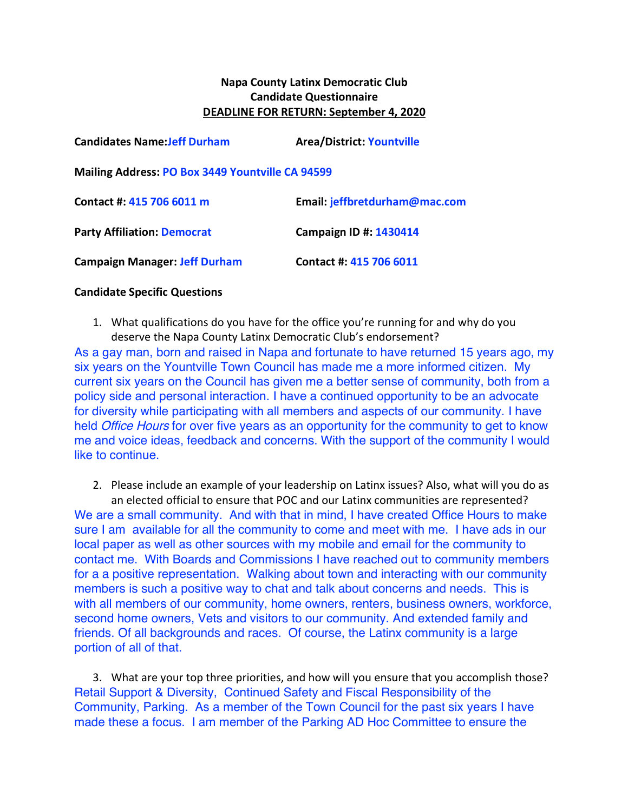## **Napa County Latinx Democratic Club Candidate Questionnaire DEADLINE FOR RETURN: September 4, 2020**

| <b>Candidates Name: Jeff Durham</b>                     | <b>Area/District: Yountville</b> |
|---------------------------------------------------------|----------------------------------|
| <b>Mailing Address: PO Box 3449 Yountville CA 94599</b> |                                  |
| Contact #: 415 706 6011 m                               | Email: jeffbretdurham@mac.com    |
| <b>Party Affiliation: Democrat</b>                      | Campaign ID #: 1430414           |
| <b>Campaign Manager: Jeff Durham</b>                    | Contact #: 415 706 6011          |

## **Candidate Specific Questions**

1. What qualifications do you have for the office you're running for and why do you deserve the Napa County Latinx Democratic Club's endorsement?

As a gay man, born and raised in Napa and fortunate to have returned 15 years ago, my six years on the Yountville Town Council has made me a more informed citizen. My current six years on the Council has given me a better sense of community, both from a policy side and personal interaction. I have a continued opportunity to be an advocate for diversity while participating with all members and aspects of our community. I have held *Office Hours* for over five years as an opportunity for the community to get to know me and voice ideas, feedback and concerns. With the support of the community I would like to continue.

2. Please include an example of your leadership on Latinx issues? Also, what will you do as an elected official to ensure that POC and our Latinx communities are represented? We are a small community. And with that in mind, I have created Office Hours to make sure I am available for all the community to come and meet with me. I have ads in our local paper as well as other sources with my mobile and email for the community to contact me. With Boards and Commissions I have reached out to community members for a a positive representation. Walking about town and interacting with our community members is such a positive way to chat and talk about concerns and needs. This is with all members of our community, home owners, renters, business owners, workforce, second home owners, Vets and visitors to our community. And extended family and friends. Of all backgrounds and races. Of course, the Latinx community is a large portion of all of that.

3. What are your top three priorities, and how will you ensure that you accomplish those? Retail Support & Diversity, Continued Safety and Fiscal Responsibility of the Community, Parking. As a member of the Town Council for the past six years I have made these a focus. I am member of the Parking AD Hoc Committee to ensure the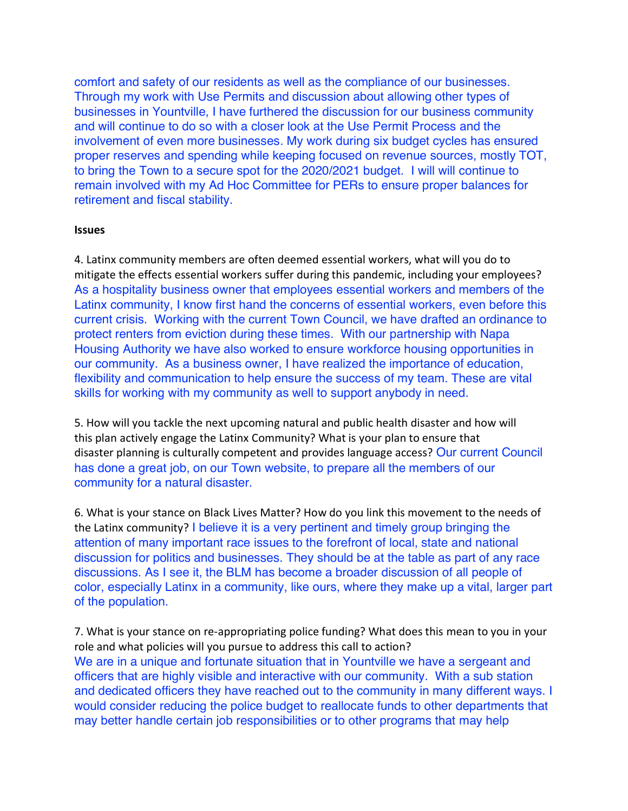comfort and safety of our residents as well as the compliance of our businesses. Through my work with Use Permits and discussion about allowing other types of businesses in Yountville, I have furthered the discussion for our business community and will continue to do so with a closer look at the Use Permit Process and the involvement of even more businesses. My work during six budget cycles has ensured proper reserves and spending while keeping focused on revenue sources, mostly TOT, to bring the Town to a secure spot for the 2020/2021 budget. I will will continue to remain involved with my Ad Hoc Committee for PERs to ensure proper balances for retirement and fiscal stability.

## **Issues**

4. Latinx community members are often deemed essential workers, what will you do to mitigate the effects essential workers suffer during this pandemic, including your employees? As a hospitality business owner that employees essential workers and members of the Latinx community, I know first hand the concerns of essential workers, even before this current crisis. Working with the current Town Council, we have drafted an ordinance to protect renters from eviction during these times. With our partnership with Napa Housing Authority we have also worked to ensure workforce housing opportunities in our community. As a business owner, I have realized the importance of education, flexibility and communication to help ensure the success of my team. These are vital skills for working with my community as well to support anybody in need.

5. How will you tackle the next upcoming natural and public health disaster and how will this plan actively engage the Latinx Community? What is your plan to ensure that disaster planning is culturally competent and provides language access? Our current Council has done a great job, on our Town website, to prepare all the members of our community for a natural disaster.

6. What is your stance on Black Lives Matter? How do you link this movement to the needs of the Latinx community? I believe it is a very pertinent and timely group bringing the attention of many important race issues to the forefront of local, state and national discussion for politics and businesses. They should be at the table as part of any race discussions. As I see it, the BLM has become a broader discussion of all people of color, especially Latinx in a community, like ours, where they make up a vital, larger part of the population.

7. What is your stance on re-appropriating police funding? What does this mean to you in your role and what policies will you pursue to address this call to action? We are in a unique and fortunate situation that in Yountville we have a sergeant and officers that are highly visible and interactive with our community. With a sub station and dedicated officers they have reached out to the community in many different ways. I would consider reducing the police budget to reallocate funds to other departments that may better handle certain job responsibilities or to other programs that may help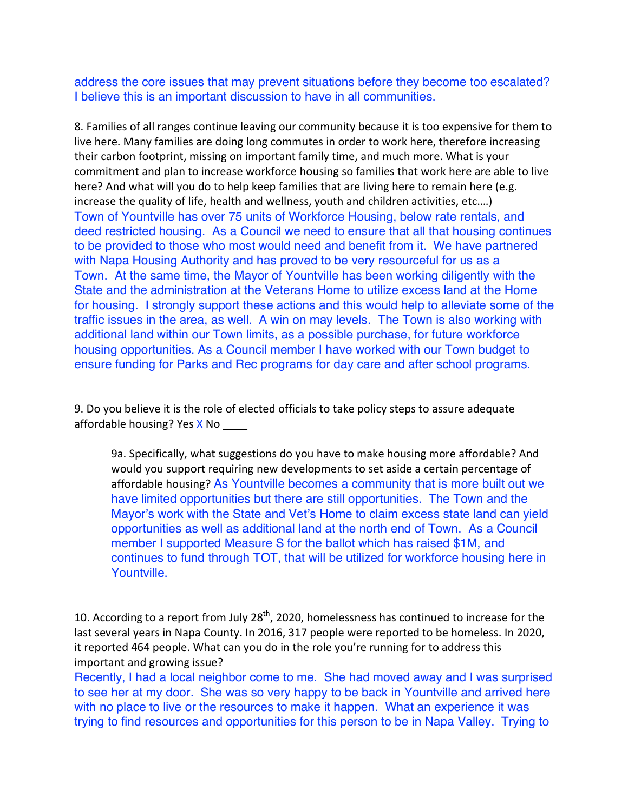address the core issues that may prevent situations before they become too escalated? I believe this is an important discussion to have in all communities.

8. Families of all ranges continue leaving our community because it is too expensive for them to live here. Many families are doing long commutes in order to work here, therefore increasing their carbon footprint, missing on important family time, and much more. What is your commitment and plan to increase workforce housing so families that work here are able to live here? And what will you do to help keep families that are living here to remain here (e.g. increase the quality of life, health and wellness, youth and children activities, etc.…) Town of Yountville has over 75 units of Workforce Housing, below rate rentals, and deed restricted housing. As a Council we need to ensure that all that housing continues to be provided to those who most would need and benefit from it. We have partnered with Napa Housing Authority and has proved to be very resourceful for us as a Town. At the same time, the Mayor of Yountville has been working diligently with the State and the administration at the Veterans Home to utilize excess land at the Home for housing. I strongly support these actions and this would help to alleviate some of the traffic issues in the area, as well. A win on may levels. The Town is also working with additional land within our Town limits, as a possible purchase, for future workforce housing opportunities. As a Council member I have worked with our Town budget to ensure funding for Parks and Rec programs for day care and after school programs.

9. Do you believe it is the role of elected officials to take policy steps to assure adequate affordable housing? Yes X No

9a. Specifically, what suggestions do you have to make housing more affordable? And would you support requiring new developments to set aside a certain percentage of affordable housing? As Yountville becomes a community that is more built out we have limited opportunities but there are still opportunities. The Town and the Mayor's work with the State and Vet's Home to claim excess state land can yield opportunities as well as additional land at the north end of Town. As a Council member I supported Measure S for the ballot which has raised \$1M, and continues to fund through TOT, that will be utilized for workforce housing here in Yountville.

10. According to a report from July 28<sup>th</sup>, 2020, homelessness has continued to increase for the last several years in Napa County. In 2016, 317 people were reported to be homeless. In 2020, it reported 464 people. What can you do in the role you're running for to address this important and growing issue?

Recently, I had a local neighbor come to me. She had moved away and I was surprised to see her at my door. She was so very happy to be back in Yountville and arrived here with no place to live or the resources to make it happen. What an experience it was trying to find resources and opportunities for this person to be in Napa Valley. Trying to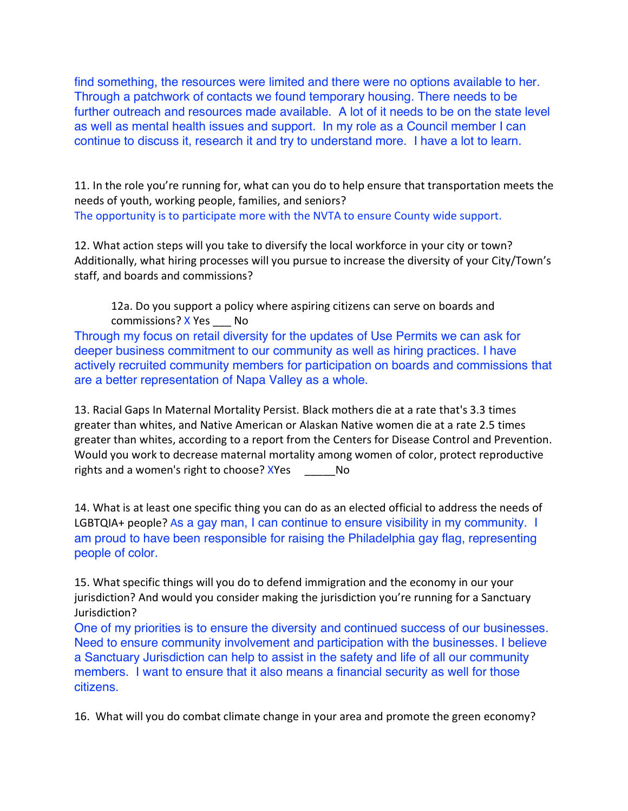find something, the resources were limited and there were no options available to her. Through a patchwork of contacts we found temporary housing. There needs to be further outreach and resources made available. A lot of it needs to be on the state level as well as mental health issues and support. In my role as a Council member I can continue to discuss it, research it and try to understand more. I have a lot to learn.

11. In the role you're running for, what can you do to help ensure that transportation meets the needs of youth, working people, families, and seniors? The opportunity is to participate more with the NVTA to ensure County wide support.

12. What action steps will you take to diversify the local workforce in your city or town? Additionally, what hiring processes will you pursue to increase the diversity of your City/Town's staff, and boards and commissions?

12a. Do you support a policy where aspiring citizens can serve on boards and commissions? X Yes No

Through my focus on retail diversity for the updates of Use Permits we can ask for deeper business commitment to our community as well as hiring practices. I have actively recruited community members for participation on boards and commissions that are a better representation of Napa Valley as a whole.

13. Racial Gaps In Maternal Mortality Persist. Black mothers die at a rate that's 3.3 times greater than whites, and Native American or Alaskan Native women die at a rate 2.5 times greater than whites, according to a report from the Centers for Disease Control and Prevention. Would you work to decrease maternal mortality among women of color, protect reproductive rights and a women's right to choose? XYes No

14. What is at least one specific thing you can do as an elected official to address the needs of LGBTQIA+ people? As a gay man, I can continue to ensure visibility in my community. I am proud to have been responsible for raising the Philadelphia gay flag, representing people of color.

15. What specific things will you do to defend immigration and the economy in our your jurisdiction? And would you consider making the jurisdiction you're running for a Sanctuary Jurisdiction?

One of my priorities is to ensure the diversity and continued success of our businesses. Need to ensure community involvement and participation with the businesses. I believe a Sanctuary Jurisdiction can help to assist in the safety and life of all our community members. I want to ensure that it also means a financial security as well for those citizens.

16. What will you do combat climate change in your area and promote the green economy?